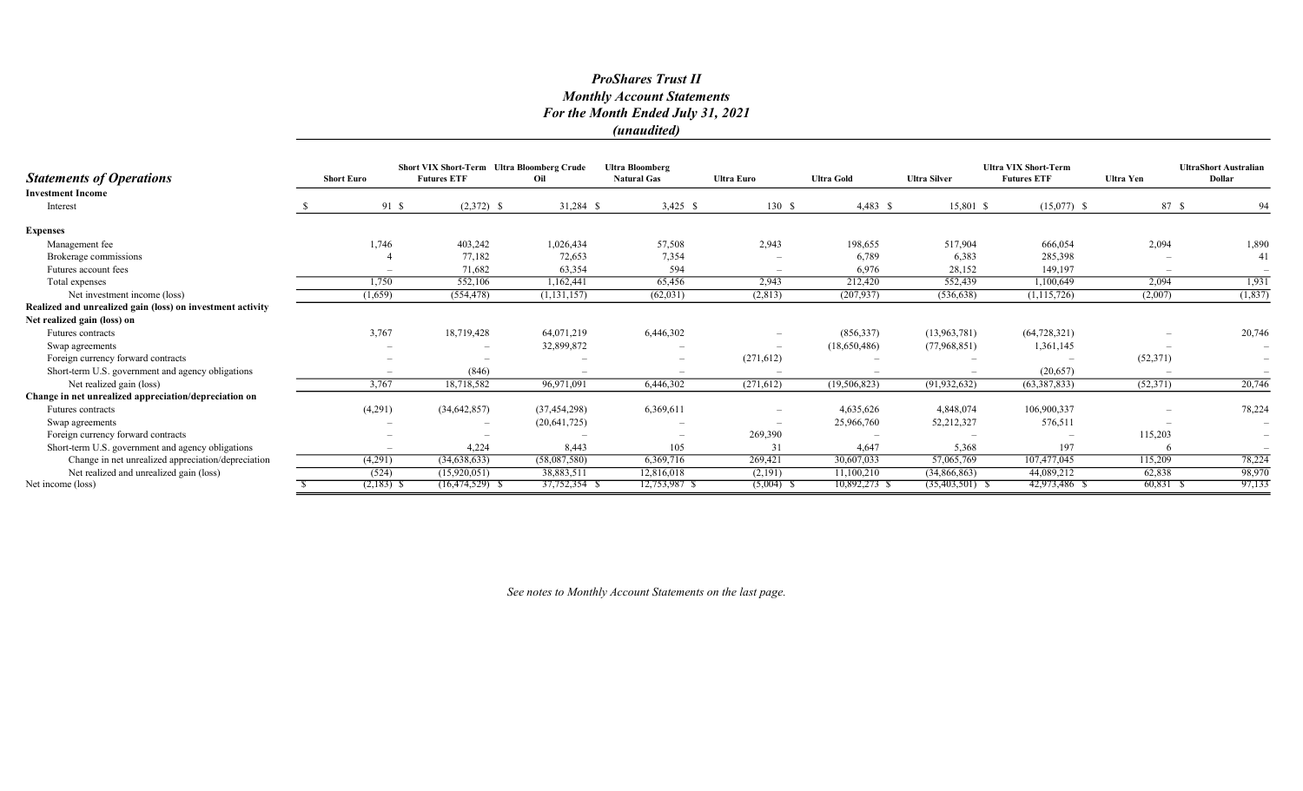# ProShares Trust II Monthly Account Statements For the Month Ended July 31, 2021 (unaudited)

|                                                            |                   | <b>Short VIX Short-Term Ultra Bloomberg Crude</b> |                    |                | <b>Ultra Bloomberg</b>   |                   |                   | <b>Ultra VIX Short-Term</b> |                    | <b>UltraShort Australian</b> |                          |
|------------------------------------------------------------|-------------------|---------------------------------------------------|--------------------|----------------|--------------------------|-------------------|-------------------|-----------------------------|--------------------|------------------------------|--------------------------|
| <b>Statements of Operations</b>                            | <b>Short Euro</b> |                                                   | <b>Futures ETF</b> | Oil            | <b>Natural Gas</b>       | <b>Ultra Euro</b> | <b>Ultra Gold</b> | <b>Ultra Silver</b>         | <b>Futures ETF</b> | <b>Ultra Yen</b>             | Dollar                   |
| <b>Investment Income</b>                                   |                   |                                                   |                    |                |                          |                   |                   |                             |                    |                              |                          |
| Interest                                                   |                   | 91 \$                                             | $(2,372)$ \$       | 31,284 \$      | $3,425$ \$               | 130S              | $4,483$ \$        | 15,801 \$                   | $(15,077)$ \$      | 87 \$                        | 94                       |
| <b>Expenses</b>                                            |                   |                                                   |                    |                |                          |                   |                   |                             |                    |                              |                          |
| Management fee                                             |                   | 1,746                                             | 403,242            | 1,026,434      | 57,508                   | 2,943             | 198,655           | 517,904                     | 666,054            | 2,094                        | 1,890                    |
| Brokerage commissions                                      |                   |                                                   | 77,182             | 72,653         | 7,354                    |                   | 6,789             | 6,383                       | 285,398            |                              | 41                       |
| Futures account fees                                       |                   |                                                   | 71,682             | 63,354         | 594                      |                   | 6,976             | 28,152                      | 149,197            |                              |                          |
| Total expenses                                             |                   | 1,750                                             | 552,106            | 1,162,441      | 65,456                   | 2,943             | 212,420           | 552,439                     | 1,100,649          | 2,094                        | 1,931                    |
| Net investment income (loss)                               |                   | (1,659)                                           | (554, 478)         | (1, 131, 157)  | (62, 031)                | (2,813)           | (207, 937)        | (536, 638)                  | (1, 115, 726)      | (2,007)                      | (1, 837)                 |
| Realized and unrealized gain (loss) on investment activity |                   |                                                   |                    |                |                          |                   |                   |                             |                    |                              |                          |
| Net realized gain (loss) on                                |                   |                                                   |                    |                |                          |                   |                   |                             |                    |                              |                          |
| <b>Futures</b> contracts                                   |                   | 3,767                                             | 18,719,428         | 64,071,219     | 6,446,302                |                   | (856, 337)        | (13,963,781)                | (64, 728, 321)     |                              | 20,746                   |
| Swap agreements                                            |                   |                                                   |                    | 32,899,872     |                          |                   | (18,650,486)      | (77,968,851)                | 1,361,145          |                              |                          |
| Foreign currency forward contracts                         |                   |                                                   |                    |                | $\overline{\phantom{a}}$ | (271, 612)        |                   |                             |                    | (52,371)                     |                          |
| Short-term U.S. government and agency obligations          |                   |                                                   | (846)              |                | $\overline{\phantom{a}}$ |                   |                   |                             | (20,657)           |                              |                          |
| Net realized gain (loss)                                   |                   | 3.767                                             | 18,718,582         | 96,971,091     | 6.446.302                | (271, 612)        | (19, 506, 823)    | (91, 932, 632)              | (63, 387, 833)     | (52,371)                     | 20,746                   |
| Change in net unrealized appreciation/depreciation on      |                   |                                                   |                    |                |                          |                   |                   |                             |                    |                              |                          |
| Futures contracts                                          |                   | (4,291)                                           | (34, 642, 857)     | (37, 454, 298) | 6,369,611                |                   | 4,635,626         | 4,848,074                   | 106,900,337        |                              | 78,224                   |
| Swap agreements                                            |                   |                                                   |                    | (20,641,725)   |                          |                   | 25,966,760        | 52,212,327                  | 576,511            |                              | $\overline{\phantom{0}}$ |
| Foreign currency forward contracts                         |                   |                                                   |                    |                | $\overline{\phantom{a}}$ | 269,390           |                   |                             |                    | 115,203                      | $\overline{\phantom{m}}$ |
| Short-term U.S. government and agency obligations          |                   |                                                   | 4,224              | 8,443          | 105                      | 31                | 4,647             | 5,368                       | 197                |                              |                          |
| Change in net unrealized appreciation/depreciation         |                   | (4,291)                                           | (34,638,633)       | (58,087,580)   | 6,369,716                | 269,421           | 30,607,033        | 57,065,769                  | 107,477,045        | 115,209                      | 78,224                   |
| Net realized and unrealized gain (loss)                    |                   | (524)                                             | (15,920,051)       | 38,883,511     | 12,816,018               | (2,191)           | 11,100,210        | (34,866,863)                | 44,089,212         | 62,838                       | 98,970                   |
| Net income (loss)                                          |                   | $(2,183)$ \$                                      | $(16,474,529)$ \$  | 37,752,354 S   | 12,753,987 \$            | $(5,004)$ \$      | 10,892,273 \$     | $(35,403,501)$ \$           | 42,973,486 \$      | 60,831 \$                    | 97,133                   |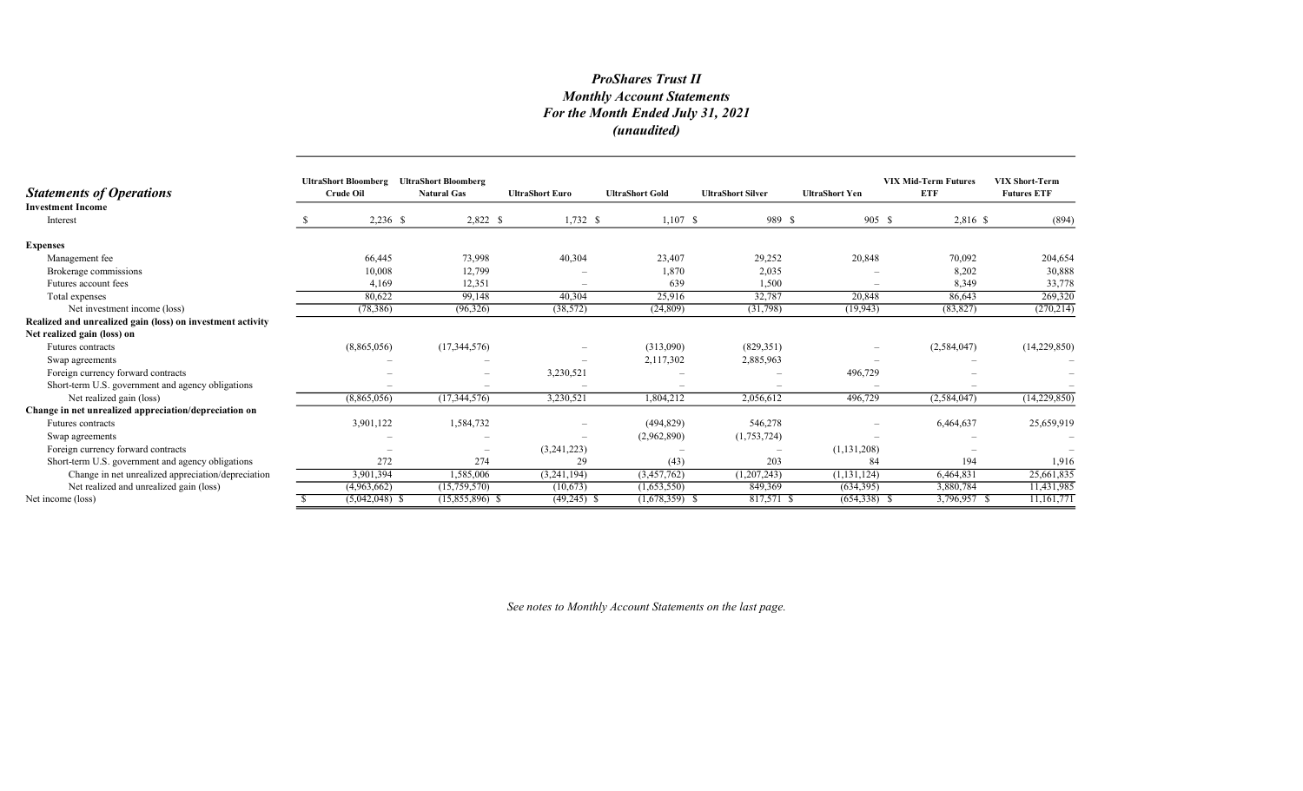# ProShares Trust II Monthly Account Statements For the Month Ended July 31, 2021 (unaudited)

| <b>Statements of Operations</b>                            | <b>UltraShort Bloomberg</b><br><b>Crude Oil</b> | <b>UltraShort Bloomberg</b><br><b>Natural Gas</b> | <b>UltraShort Euro</b> | <b>UltraShort Gold</b> | <b>UltraShort Silver</b> | <b>UltraShort Yen</b>    | <b>VIX Mid-Term Futures</b><br><b>ETF</b> | <b>VIX Short-Term</b><br><b>Futures ETF</b> |
|------------------------------------------------------------|-------------------------------------------------|---------------------------------------------------|------------------------|------------------------|--------------------------|--------------------------|-------------------------------------------|---------------------------------------------|
| <b>Investment Income</b>                                   |                                                 |                                                   |                        |                        |                          |                          |                                           |                                             |
| Interest                                                   | $2,236$ \$                                      | 2,822 \$                                          | $1,732$ \$             | $1,107$ \$             | 989 \$                   | $905 \text{ }$ \$        | 2,816 \$                                  | (894)                                       |
| <b>Expenses</b>                                            |                                                 |                                                   |                        |                        |                          |                          |                                           |                                             |
| Management fee                                             | 66,445                                          | 73,998                                            | 40,304                 | 23,407                 | 29,252                   | 20,848                   | 70,092                                    | 204,654                                     |
| Brokerage commissions                                      | 10,008                                          | 12,799                                            |                        | 1,870                  | 2,035                    |                          | 8,202                                     | 30,888                                      |
| Futures account fees                                       | 4,169                                           | 12,351                                            |                        | 639                    | 1,500                    |                          | 8,349                                     | 33,778                                      |
| Total expenses                                             | 80,622                                          | 99,148                                            | 40,304                 | 25,916                 | 32,787                   | 20,848                   | 86,643                                    | 269,320                                     |
| Net investment income (loss)                               | (78, 386)                                       | (96,326)                                          | (38, 572)              | (24, 809)              | (31,798)                 | (19, 943)                | (83, 827)                                 | (270, 214)                                  |
| Realized and unrealized gain (loss) on investment activity |                                                 |                                                   |                        |                        |                          |                          |                                           |                                             |
| Net realized gain (loss) on                                |                                                 |                                                   |                        |                        |                          |                          |                                           |                                             |
| Futures contracts                                          | (8,865,056)                                     | (17,344,576)                                      |                        | (313,090)              | (829, 351)               | $\overline{\phantom{a}}$ | (2,584,047)                               | (14,229,850)                                |
| Swap agreements                                            |                                                 |                                                   |                        | 2,117,302              | 2,885,963                |                          |                                           |                                             |
| Foreign currency forward contracts                         |                                                 | $\overline{\phantom{m}}$                          | 3,230,521              |                        |                          | 496,729                  |                                           |                                             |
| Short-term U.S. government and agency obligations          |                                                 |                                                   |                        |                        | $\overline{\phantom{0}}$ |                          |                                           |                                             |
| Net realized gain (loss)                                   | (8,865,056)                                     | (17, 344, 576)                                    | 3,230,521              | 1,804,212              | 2,056,612                | 496,729                  | (2,584,047)                               | (14,229,850)                                |
| Change in net unrealized appreciation/depreciation on      |                                                 |                                                   |                        |                        |                          |                          |                                           |                                             |
| Futures contracts                                          | 3,901,122                                       | 1,584,732                                         |                        | (494, 829)             | 546,278                  | $\overline{\phantom{0}}$ | 6,464,637                                 | 25,659,919                                  |
| Swap agreements                                            |                                                 |                                                   |                        | (2,962,890)            | (1,753,724)              |                          |                                           |                                             |
| Foreign currency forward contracts                         |                                                 | $\overline{\phantom{m}}$                          | (3,241,223)            |                        | $\overline{\phantom{m}}$ | (1,131,208)              |                                           |                                             |
| Short-term U.S. government and agency obligations          | 272                                             | 274                                               | 29                     | (43)                   | 203                      | 84                       | 194                                       | 1,916                                       |
| Change in net unrealized appreciation/depreciation         | 3,901,394                                       | 1,585,006                                         | (3,241,194)            | (3,457,762)            | (1,207,243)              | (1, 131, 124)            | 6,464,831                                 | 25,661,835                                  |
| Net realized and unrealized gain (loss)                    | (4,963,662)                                     | (15,759,570)                                      | (10,673)               | (1,653,550)            | 849,369                  | (634,395)                | 3,880,784                                 | 11,431,985                                  |
| Net income (loss)                                          | $(5,042,048)$ \$                                | $(15,855,896)$ \$                                 | $(49,245)$ \$          | $(1,678,359)$ \$       | $817,571$ \$             | $(654,338)$ \$           | 3,796,957 \$                              | 11,161,771                                  |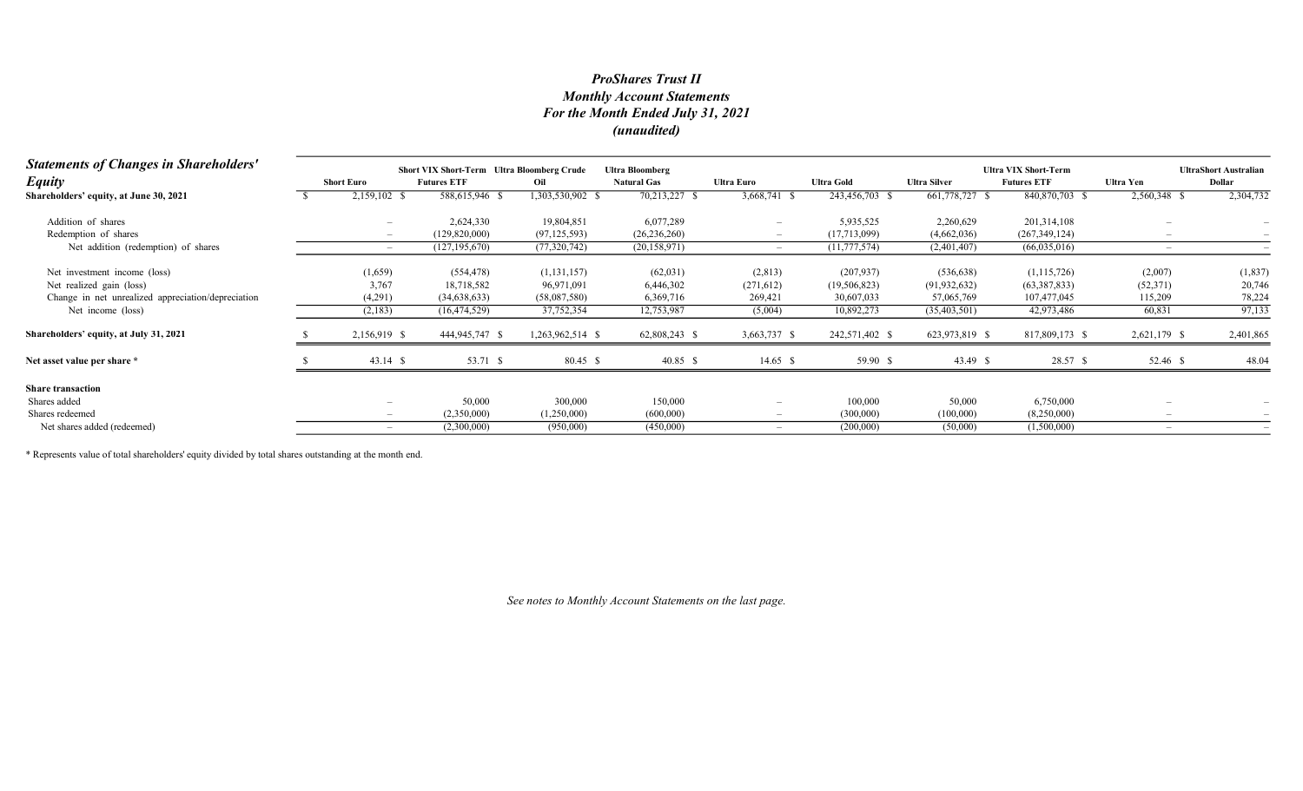# Monthly Account Statements For the Month Ended July 31, 2021 (unaudited) ProShares Trust II

| <b>Statements of Changes in Shareholders'</b>      | Short VIX Short-Term Ultra Bloomberg Crude<br><b>Ultra Bloomberg</b> |                    |                  |                    |                          |                   |                     |                                                   | <b>UltraShort Australian</b> |           |
|----------------------------------------------------|----------------------------------------------------------------------|--------------------|------------------|--------------------|--------------------------|-------------------|---------------------|---------------------------------------------------|------------------------------|-----------|
| <b>Equity</b>                                      | <b>Short Euro</b>                                                    | <b>Futures ETF</b> | Oil              | <b>Natural Gas</b> | <b>Ultra Euro</b>        | <b>Ultra Gold</b> | <b>Ultra Silver</b> | <b>Ultra VIX Short-Term</b><br><b>Futures ETF</b> | <b>Ultra Yen</b>             | Dollar    |
| Shareholders' equity, at June 30, 2021             | 2,159,102 \$                                                         | 588,615,946 \$     | 1,303,530,902 \$ | 70,213,227         | 3,668,741 \$             | 243,456,703 \$    | 661,778,727 \$      | 840,870,703 \$                                    | 2,560,348 \$                 | 2,304,732 |
| Addition of shares                                 |                                                                      | 2,624,330          | 19,804,851       | 6,077,289          |                          | 5,935,525         | 2,260,629           | 201,314,108                                       |                              |           |
| Redemption of shares                               |                                                                      | (129,820,000)      | (97, 125, 593)   | (26, 236, 260)     |                          | (17,713,099)      | (4,662,036)         | (267, 349, 124)                                   |                              |           |
| Net addition (redemption) of shares                | $\overline{\phantom{0}}$                                             | (127, 195, 670)    | (77,320,742)     | (20, 158, 971)     |                          | (11, 777, 574)    | (2,401,407)         | (66,035,016)                                      |                              |           |
| Net investment income (loss)                       | (1,659)                                                              | (554, 478)         | (1, 131, 157)    | (62,031)           | (2,813)                  | (207, 937)        | (536, 638)          | (1,115,726)                                       | (2,007)                      | (1,837)   |
| Net realized gain (loss)                           | 3,767                                                                | 18,718,582         | 96,971,091       | 6,446,302          | (271, 612)               | (19, 506, 823)    | (91, 932, 632)      | (63, 387, 833)                                    | (52, 371)                    | 20,746    |
| Change in net unrealized appreciation/depreciation | (4,291)                                                              | (34,638,633)       | (58,087,580)     | 6,369,716          | 269,421                  | 30,607,033        | 57,065,769          | 107,477,045                                       | 115,209                      | 78,224    |
| Net income (loss)                                  | (2,183)                                                              | (16, 474, 529)     | 37,752,354       | 12,753,987         | (5,004)                  | 10,892,273        | (35,403,501)        | 42,973,486                                        | 60,831                       | 97,133    |
| Shareholders' equity, at July 31, 2021             | 2,156,919 \$                                                         | 444,945,747 \$     | 1,263,962,514 \$ | 62,808,243 \$      | 3,663,737 \$             | 242,571,402 \$    | 623,973,819 \$      | 817,809,173 \$                                    | 2,621,179 \$                 | 2,401,865 |
| Net asset value per share *                        | $43.14$ \$                                                           | 53.71 \$           | 80.45 \$         | 40.85 \$           | $14.65$ \$               | 59.90 \$          | 43.49 \$            | 28.57 \$                                          | 52.46 \$                     | 48.04     |
| <b>Share transaction</b>                           |                                                                      |                    |                  |                    |                          |                   |                     |                                                   |                              |           |
| Shares added                                       |                                                                      | 50,000             | 300,000          | 150,000            | $\overline{\phantom{0}}$ | 100,000           | 50,000              | 6,750,000                                         |                              |           |
| Shares redeemed                                    | $\overline{\phantom{a}}$                                             | (2,350,000)        | (1,250,000)      | (600,000)          | $-$                      | (300,000)         | (100,000)           | (8,250,000)                                       |                              |           |
| Net shares added (redeemed)                        |                                                                      | (2,300,000)        | (950,000)        | (450,000)          |                          | (200,000)         | (50,000)            | (1,500,000)                                       |                              |           |

\* Represents value of total shareholders' equity divided by total shares outstanding at the month end.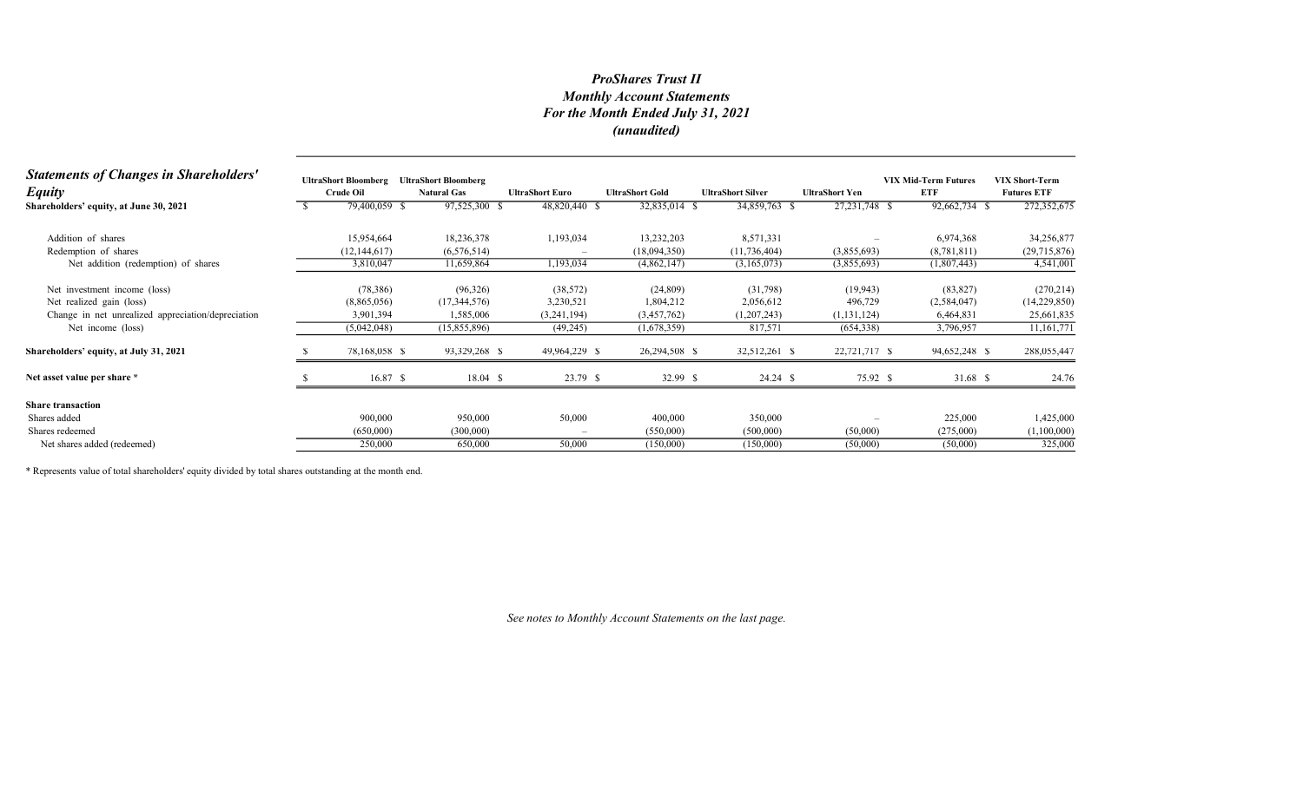# Monthly Account Statements For the Month Ended July 31, 2021 (unaudited) ProShares Trust II

| <b>Statements of Changes in Shareholders'</b><br><b>Equity</b> | <b>UltraShort Bloomberg</b><br>Crude Oil | <b>UltraShort Bloomberg</b><br><b>Natural Gas</b> | <b>UltraShort Euro</b> | <b>UltraShort Gold</b> | <b>UltraShort Silver</b> | <b>UltraShort Yen</b> | <b>VIX Mid-Term Futures</b><br><b>ETF</b> | <b>VIX Short-Term</b><br><b>Futures ETF</b> |
|----------------------------------------------------------------|------------------------------------------|---------------------------------------------------|------------------------|------------------------|--------------------------|-----------------------|-------------------------------------------|---------------------------------------------|
| Shareholders' equity, at June 30, 2021                         | 79,400,059 \$                            | 97,525,300 \$                                     | 48,820,440 \$          | 32,835,014 \$          | 34,859,763 \$            | 27, 231, 748 \$       | 92,662,734 \$                             | 272,352,675                                 |
| Addition of shares                                             | 15,954,664                               | 18,236,378                                        | 1,193,034              | 13,232,203             | 8,571,331                |                       | 6,974,368                                 | 34,256,877                                  |
| Redemption of shares                                           | (12, 144, 617)                           | (6,576,514)                                       |                        | (18,094,350)           | (11, 736, 404)           | (3,855,693)           | (8,781,811)                               | (29,715,876)                                |
| Net addition (redemption) of shares                            | 3,810,047                                | 11,659,864                                        | 1,193,034              | (4,862,147)            | (3,165,073)              | (3,855,693)           | (1,807,443)                               | 4,541,001                                   |
| Net investment income (loss)                                   | (78, 386)                                | (96,326)                                          | (38, 572)              | (24, 809)              | (31,798)                 | (19, 943)             | (83, 827)                                 | (270, 214)                                  |
| Net realized gain (loss)                                       | (8,865,056)                              | (17,344,576)                                      | 3,230,521              | 1,804,212              | 2,056,612                | 496,729               | (2,584,047)                               | (14,229,850)                                |
| Change in net unrealized appreciation/depreciation             | 3,901,394                                | 1,585,006                                         | (3,241,194)            | (3,457,762)            | (1,207,243)              | (1, 131, 124)         | 6,464,831                                 | 25,661,835                                  |
| Net income (loss)                                              | (5,042,048)                              | (15,855,896)                                      | (49,245)               | (1,678,359)            | 817,571                  | (654,338)             | 3,796,957                                 | 11,161,771                                  |
| Shareholders' equity, at July 31, 2021                         | 78,168,058 \$                            | 93,329,268 \$                                     | 49,964,229 \$          | 26,294,508 \$          | 32,512,261 \$            | 22,721,717 \$         | 94,652,248 \$                             | 288,055,447                                 |
| Net asset value per share *                                    | 16.87 S                                  | $18.04 \text{ }$ \$                               | 23.79 \$               | 32.99 \$               | 24.24 S                  | 75.92 \$              | 31.68 \$                                  | 24.76                                       |
| <b>Share transaction</b>                                       |                                          |                                                   |                        |                        |                          |                       |                                           |                                             |
| Shares added                                                   | 900,000                                  | 950,000                                           | 50,000                 | 400,000                | 350,000                  |                       | 225,000                                   | 1,425,000                                   |
| Shares redeemed                                                | (650,000)                                | (300,000)                                         |                        | (550,000)              | (500,000)                | (50,000)              | (275,000)                                 | (1,100,000)                                 |
| Net shares added (redeemed)                                    | 250,000                                  | 650,000                                           | 50,000                 | (150,000)              | (150,000)                | (50,000)              | (50,000)                                  | 325,000                                     |

\* Represents value of total shareholders' equity divided by total shares outstanding at the month end.